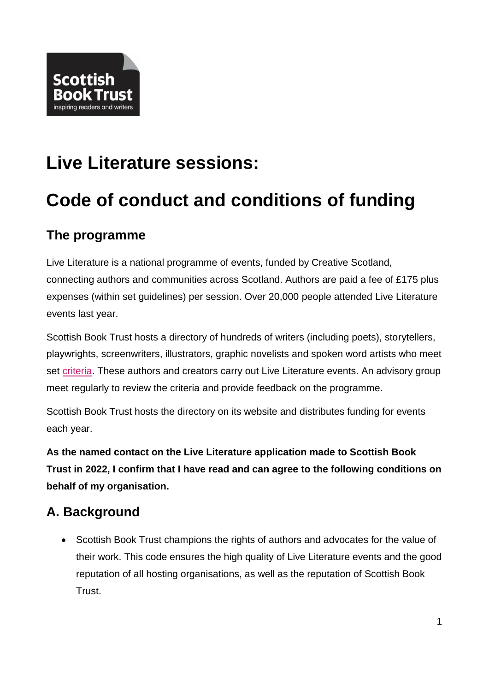

# **Live Literature sessions:**

## **Code of conduct and conditions of funding**

#### **The programme**

Live Literature is a national programme of events, funded by Creative Scotland, connecting authors and communities across Scotland. Authors are paid a fee of £175 plus expenses (within set guidelines) per session. Over 20,000 people attended Live Literature events last year.

Scottish Book Trust hosts a directory of hundreds of writers (including poets), storytellers, playwrights, screenwriters, illustrators, graphic novelists and spoken word artists who meet set [criteria.](http://scottishbooktrust.com/writing/opportunities-for-writers/how-to-register-for-the-live-literature-database) These authors and creators carry out Live Literature events. An advisory group meet regularly to review the criteria and provide feedback on the programme.

Scottish Book Trust hosts the directory on its website and distributes funding for events each year.

**As the named contact on the Live Literature application made to Scottish Book Trust in 2022, I confirm that I have read and can agree to the following conditions on behalf of my organisation.**

#### **A. Background**

• Scottish Book Trust champions the rights of authors and advocates for the value of their work. This code ensures the high quality of Live Literature events and the good reputation of all hosting organisations, as well as the reputation of Scottish Book Trust.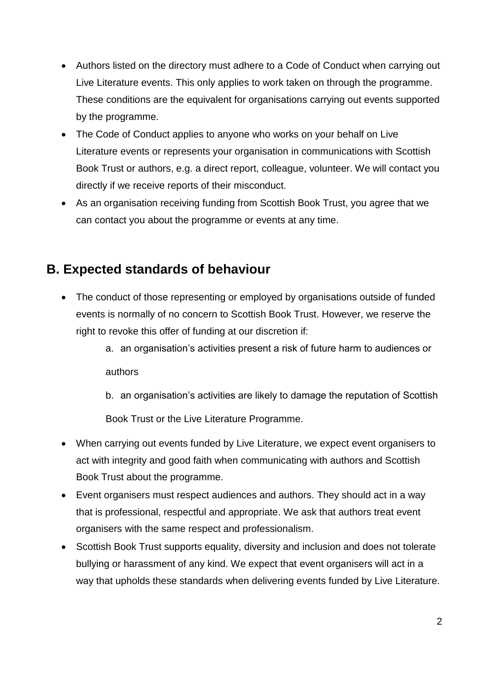- Authors listed on the directory must adhere to a Code of Conduct when carrying out Live Literature events. This only applies to work taken on through the programme. These conditions are the equivalent for organisations carrying out events supported by the programme.
- The Code of Conduct applies to anyone who works on your behalf on Live Literature events or represents your organisation in communications with Scottish Book Trust or authors, e.g. a direct report, colleague, volunteer. We will contact you directly if we receive reports of their misconduct.
- As an organisation receiving funding from Scottish Book Trust, you agree that we can contact you about the programme or events at any time.

#### **B. Expected standards of behaviour**

- The conduct of those representing or employed by organisations outside of funded events is normally of no concern to Scottish Book Trust. However, we reserve the right to revoke this offer of funding at our discretion if:
	- a. an organisation's activities present a risk of future harm to audiences or authors
	- b. an organisation's activities are likely to damage the reputation of Scottish

Book Trust or the Live Literature Programme.

- When carrying out events funded by Live Literature, we expect event organisers to act with integrity and good faith when communicating with authors and Scottish Book Trust about the programme.
- Event organisers must respect audiences and authors. They should act in a way that is professional, respectful and appropriate. We ask that authors treat event organisers with the same respect and professionalism.
- Scottish Book Trust supports equality, diversity and inclusion and does not tolerate bullying or harassment of any kind. We expect that event organisers will act in a way that upholds these standards when delivering events funded by Live Literature.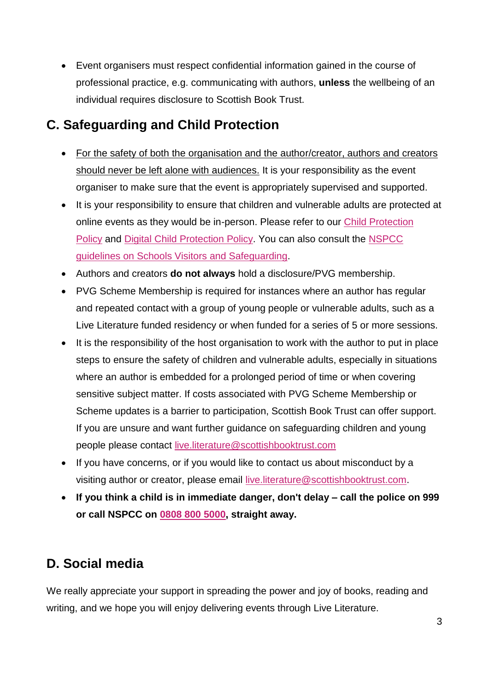Event organisers must respect confidential information gained in the course of professional practice, e.g. communicating with authors, **unless** the wellbeing of an individual requires disclosure to Scottish Book Trust.

#### **C. Safeguarding and Child Protection**

- For the safety of both the organisation and the author/creator, authors and creators should never be left alone with audiences. It is your responsibility as the event organiser to make sure that the event is appropriately supervised and supported.
- It is your responsibility to ensure that children and vulnerable adults are protected at online events as they would be in-person. Please refer to our [Child Protection](https://www.scottishbooktrust.com/about/policies/child-protection-policy) [Policy](https://www.scottishbooktrust.com/about/policies/child-protection-policy) and [Digital Child Protection Policy.](https://www.scottishbooktrust.com/about/policies/child-protection-policy-digital) You can also consult the [NSPCC](https://learning.nspcc.org.uk/safeguarding-child-protection-schools/school-visitors) [guidelines on Schools Visitors and Safeguarding.](https://learning.nspcc.org.uk/safeguarding-child-protection-schools/school-visitors)
- Authors and creators **do not always** hold a disclosure/PVG membership.
- PVG Scheme Membership is required for instances where an author has regular and repeated contact with a group of young people or vulnerable adults, such as a Live Literature funded residency or when funded for a series of 5 or more sessions.
- It is the responsibility of the host organisation to work with the author to put in place steps to ensure the safety of children and vulnerable adults, especially in situations where an author is embedded for a prolonged period of time or when covering sensitive subject matter. If costs associated with PVG Scheme Membership or Scheme updates is a barrier to participation, Scottish Book Trust can offer support. If you are unsure and want further guidance on safeguarding children and young people please contact [live.literature@scottishbooktrust.com](mailto:live.literature@scottishbooktrust.com)
- If you have concerns, or if you would like to contact us about misconduct by a visiting author or creator, please email [live.literature@scottishbooktrust.com.](mailto:live.literature@scottishbooktrust.com)
- **If you think a child is in immediate danger, don't delay – call the police on 999 or call NSPCC on [0808 800 5000,](tel:0808%20800%205000) straight away.**

#### **D. Social media**

We really appreciate your support in spreading the power and joy of books, reading and writing, and we hope you will enjoy delivering events through Live Literature.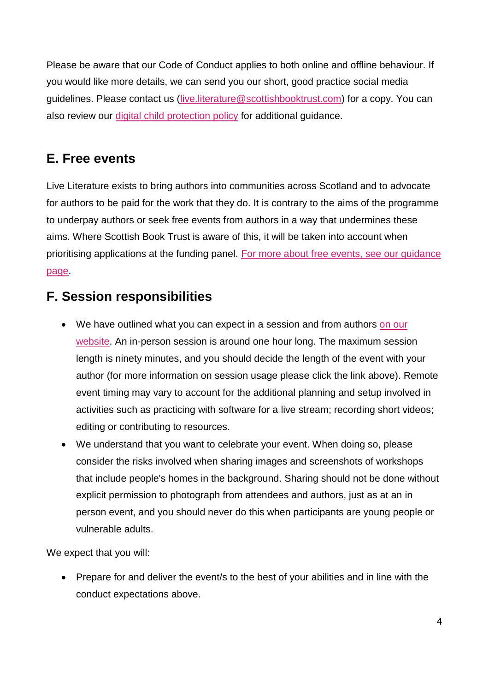Please be aware that our Code of Conduct applies to both online and offline behaviour. If you would like more details, we can send you our short, good practice social media guidelines. Please contact us [\(live.literature@scottishbooktrust.com\)](live.literature@scottishbooktrust.com) for a copy. You can also review our [digital child protection policy](https://www.scottishbooktrust.com/about/policies/child-protection-policy-digital) for additional guidance.

## **E. Free events**

Live Literature exists to bring authors into communities across Scotland and to advocate for authors to be paid for the work that they do. It is contrary to the aims of the programme to underpay authors or seek free events from authors in a way that undermines these aims. Where Scottish Book Trust is aware of this, it will be taken into account when prioritising applications at the funding panel. [For more about free events, see our guidance](https://www.scottishbooktrust.com/writing-and-authors/author-fees-and-free-events)  [page.](https://www.scottishbooktrust.com/writing-and-authors/author-fees-and-free-events)

## **F. Session responsibilities**

- We have outlined what you can expect in a session and from authors [on our](https://www.scottishbooktrust.com/writing-and-authors/live-literature/planning-a-live-literature-session) [website.](https://www.scottishbooktrust.com/writing-and-authors/live-literature/planning-a-live-literature-session) An in-person session is around one hour long. The maximum session length is ninety minutes, and you should decide the length of the event with your author (for more information on session usage please click the link above). Remote event timing may vary to account for the additional planning and setup involved in activities such as practicing with software for a live stream; recording short videos; editing or contributing to resources.
- We understand that you want to celebrate your event. When doing so, please consider the risks involved when sharing images and screenshots of workshops that include people's homes in the background. Sharing should not be done without explicit permission to photograph from attendees and authors, just as at an in person event, and you should never do this when participants are young people or vulnerable adults.

We expect that you will:

• Prepare for and deliver the event/s to the best of your abilities and in line with the conduct expectations above.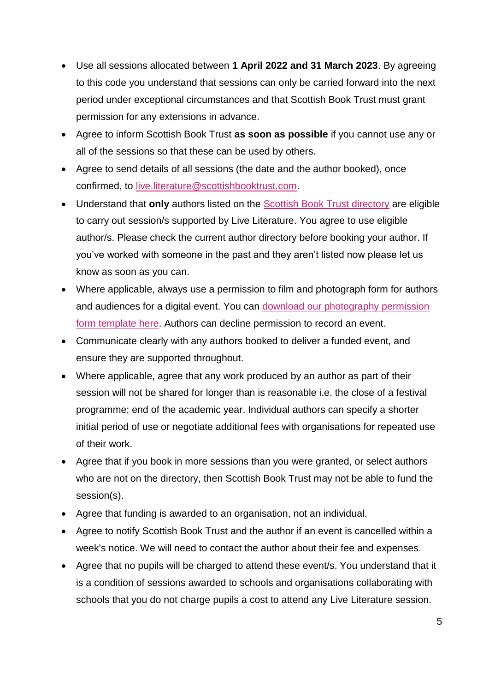- Use all sessions allocated between **1 April 2022 and 31 March 2023**. By agreeing to this code you understand that sessions can only be carried forward into the next period under exceptional circumstances and that Scottish Book Trust must grant permission for any extensions in advance.
- Agree to inform Scottish Book Trust **as soon as possible** if you cannot use any or all of the sessions so that these can be used by others.
- Agree to send details of all sessions (the date and the author booked), once confirmed, to [live.literature@scottishbooktrust.com.](live.literature@scottishbooktrust.com)
- Understand that **only** authors listed on the [Scottish Book Trust directory](https://www.scottishbooktrust.com/authors) are eligible to carry out session/s supported by Live Literature. You agree to use eligible author/s. Please check the current author directory before booking your author. If you've worked with someone in the past and they aren't listed now please let us know as soon as you can.
- Where applicable, always use a permission to film and photograph form for authors and audiences for a digital event. You can download our [photography permission](https://www.scottishbooktrust.com/writing-and-authors/live-literature/expenses-information) [form template here.](https://www.scottishbooktrust.com/writing-and-authors/live-literature/expenses-information) Authors can decline permission to record an event.
- Communicate clearly with any authors booked to deliver a funded event, and ensure they are supported throughout.
- Where applicable, agree that any work produced by an author as part of their session will not be shared for longer than is reasonable i.e. the close of a festival programme; end of the academic year. Individual authors can specify a shorter initial period of use or negotiate additional fees with organisations for repeated use of their work.
- Agree that if you book in more sessions than you were granted, or select authors who are not on the directory, then Scottish Book Trust may not be able to fund the session(s).
- Agree that funding is awarded to an organisation, not an individual.
- Agree to notify Scottish Book Trust and the author if an event is cancelled within a week's notice. We will need to contact the author about their fee and expenses.
- Agree that no pupils will be charged to attend these event/s. You understand that it is a condition of sessions awarded to schools and organisations collaborating with schools that you do not charge pupils a cost to attend any Live Literature session.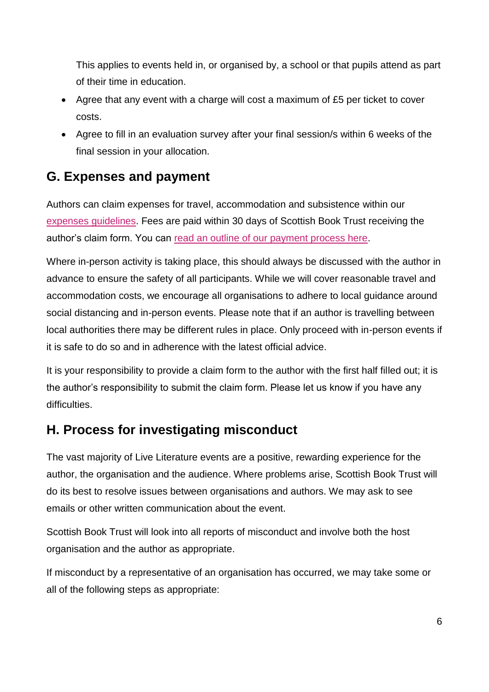This applies to events held in, or organised by, a school or that pupils attend as part of their time in education.

- Agree that any event with a charge will cost a maximum of £5 per ticket to cover costs.
- Agree to fill in an evaluation survey after your final session/s within 6 weeks of the final session in your allocation.

## **G. Expenses and payment**

Authors can claim expenses for travel, accommodation and subsistence within our [expenses guidelines.](http://www.scottishbooktrust.com/writing/opportunities-for-writers/live-literature-information-for-authors/getting-there-travel-expenses) Fees are paid within 30 days of Scottish Book Trust receiving the author's claim form. You can [read an outline of our payment process here.](https://www.scottishbooktrust.com/writing-and-authors/live-literature/expenses-information)

Where in-person activity is taking place, this should always be discussed with the author in advance to ensure the safety of all participants. While we will cover reasonable travel and accommodation costs, we encourage all organisations to adhere to local guidance around social distancing and in-person events. Please note that if an author is travelling between local authorities there may be different rules in place. Only proceed with in-person events if it is safe to do so and in adherence with the latest official advice.

It is your responsibility to provide a claim form to the author with the first half filled out; it is the author's responsibility to submit the claim form. Please let us know if you have any difficulties.

#### **H. Process for investigating misconduct**

The vast majority of Live Literature events are a positive, rewarding experience for the author, the organisation and the audience. Where problems arise, Scottish Book Trust will do its best to resolve issues between organisations and authors. We may ask to see emails or other written communication about the event.

Scottish Book Trust will look into all reports of misconduct and involve both the host organisation and the author as appropriate.

If misconduct by a representative of an organisation has occurred, we may take some or all of the following steps as appropriate: